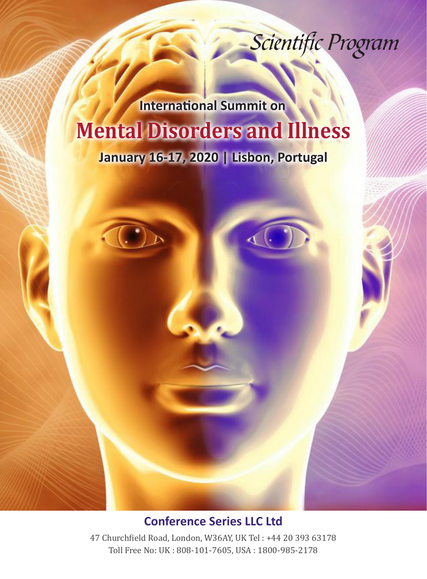Scientific Program

## **Mental Disorders and Illness January 16-17, 2020 | Lisbon, Portugal International Summit on**



47 Churchfield Road, London, W36AY, UK Tel : +44 20 393 63178 Toll Free No: UK : 808-101-7605, USA : 1800-985-2178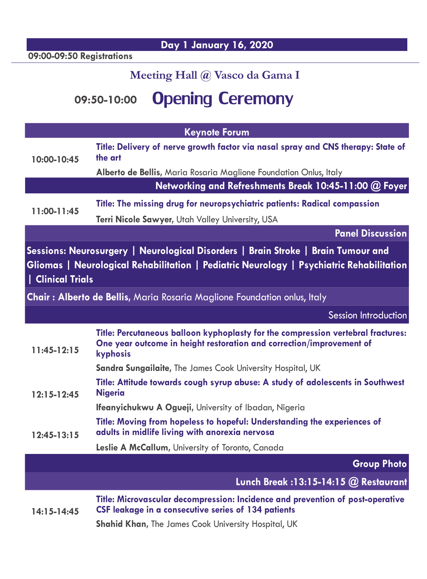**Day 1 January 16, 2020**

**09:00-09:50 Registrations** 

## **Meeting Hall @ Vasco da Gama I**

## **09:50-10:00** Opening Ceremony

| <b>Keynote Forum</b>                                                                                                                                                                               |                                                                                                                                                                      |
|----------------------------------------------------------------------------------------------------------------------------------------------------------------------------------------------------|----------------------------------------------------------------------------------------------------------------------------------------------------------------------|
| 10:00-10:45                                                                                                                                                                                        | Title: Delivery of nerve growth factor via nasal spray and CNS therapy: State of<br>the art                                                                          |
|                                                                                                                                                                                                    | Alberto de Bellis, Maria Rosaria Maglione Foundation Onlus, Italy                                                                                                    |
|                                                                                                                                                                                                    | Networking and Refreshments Break 10:45-11:00 @ Foyer                                                                                                                |
| 11:00-11:45                                                                                                                                                                                        | Title: The missing drug for neuropsychiatric patients: Radical compassion                                                                                            |
|                                                                                                                                                                                                    | Terri Nicole Sawyer, Utah Valley University, USA                                                                                                                     |
|                                                                                                                                                                                                    | <b>Panel Discussion</b>                                                                                                                                              |
| Sessions: Neurosurgery   Neurological Disorders   Brain Stroke   Brain Tumour and<br>Gliomas   Neurological Rehabilitation   Pediatric Neurology   Psychiatric Rehabilitation<br>  Clinical Trials |                                                                                                                                                                      |
| Chair: Alberto de Bellis, Maria Rosaria Maglione Foundation onlus, Italy                                                                                                                           |                                                                                                                                                                      |
|                                                                                                                                                                                                    | <b>Session Introduction</b>                                                                                                                                          |
|                                                                                                                                                                                                    |                                                                                                                                                                      |
| $11:45-12:15$                                                                                                                                                                                      | Title: Percutaneous balloon kyphoplasty for the compression vertebral fractures:<br>One year outcome in height restoration and correction/improvement of<br>kyphosis |
|                                                                                                                                                                                                    | Sandra Sungailaite, The James Cook University Hospital, UK                                                                                                           |
| $12:15 - 12:45$                                                                                                                                                                                    | Title: Attitude towards cough syrup abuse: A study of adolescents in Southwest<br><b>Nigeria</b>                                                                     |
|                                                                                                                                                                                                    | Ifeanyichukwu A Ogueji, University of Ibadan, Nigeria                                                                                                                |
| $12:45-13:15$                                                                                                                                                                                      | Title: Moving from hopeless to hopeful: Understanding the experiences of<br>adults in midlife living with anorexia nervosa                                           |
|                                                                                                                                                                                                    | Leslie A McCallum, University of Toronto, Canada                                                                                                                     |
|                                                                                                                                                                                                    | <b>Group Photo</b>                                                                                                                                                   |
|                                                                                                                                                                                                    | Lunch Break : 13:15-14:15 @ Restaurant                                                                                                                               |
| $14:15 - 14:45$                                                                                                                                                                                    | Title: Microvascular decompression: Incidence and prevention of post-operative<br>CSF leakage in a consecutive series of 134 patients                                |